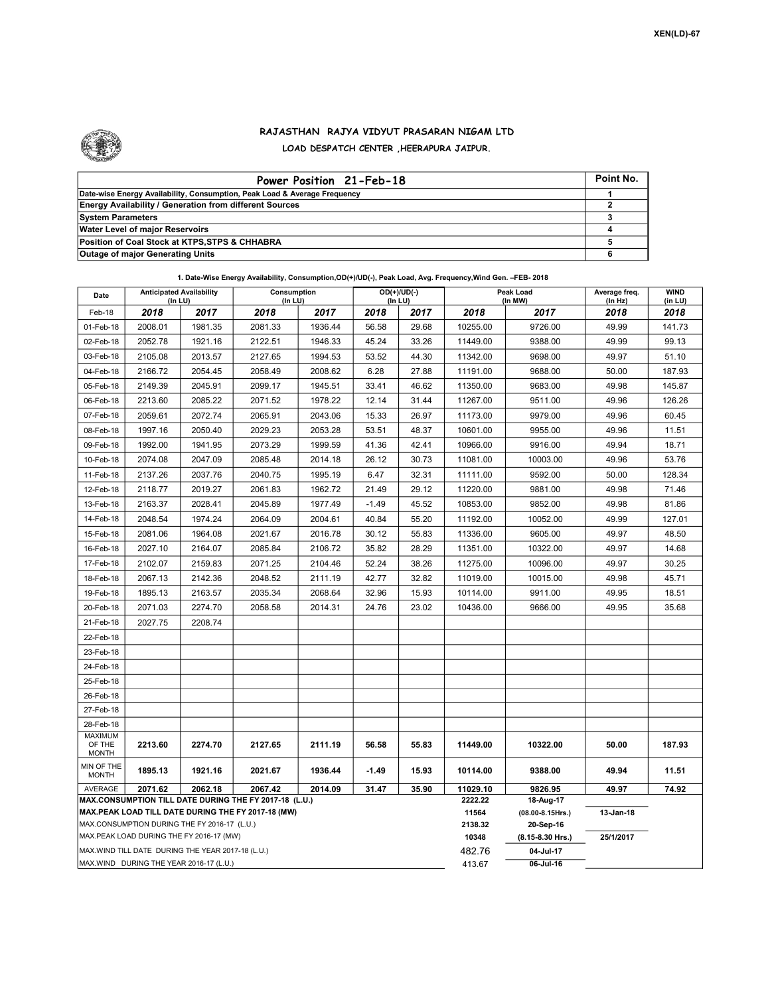

## RAJASTHAN RAJYA VIDYUT PRASARAN NIGAM LTD LOAD DESPATCH CENTER ,HEERAPURA JAIPUR.

| Power Position 21-Feb-18                                                  | Point No. |
|---------------------------------------------------------------------------|-----------|
| Date-wise Energy Availability, Consumption, Peak Load & Average Frequency |           |
| <b>Energy Availability / Generation from different Sources</b>            |           |
| <b>System Parameters</b>                                                  |           |
| <b>Water Level of major Reservoirs</b>                                    |           |
| Position of Coal Stock at KTPS, STPS & CHHABRA                            |           |
| <b>Outage of major Generating Units</b>                                   |           |

| Date                                                                                               | <b>Anticipated Availability</b><br>(In LU) |         | Consumption<br>(In LU) |         | $OD(+)/UD(-)$<br>(In LU) |       | Peak Load<br>(In MW) |                                    | Average freq.<br>(In Hz) | <b>WIND</b><br>(in LU) |
|----------------------------------------------------------------------------------------------------|--------------------------------------------|---------|------------------------|---------|--------------------------|-------|----------------------|------------------------------------|--------------------------|------------------------|
| Feb-18                                                                                             | 2018                                       | 2017    | 2018                   | 2017    | 2018                     | 2017  | 2018                 | 2017                               | 2018                     | 2018                   |
| 01-Feb-18                                                                                          | 2008.01                                    | 1981.35 | 2081.33                | 1936.44 | 56.58                    | 29.68 | 10255.00             | 9726.00                            | 49.99                    | 141.73                 |
| 02-Feb-18                                                                                          | 2052.78                                    | 1921.16 | 2122.51                | 1946.33 | 45.24                    | 33.26 | 11449.00             | 9388.00                            | 49.99                    | 99.13                  |
| 03-Feb-18                                                                                          | 2105.08                                    | 2013.57 | 2127.65                | 1994.53 | 53.52                    | 44.30 | 11342.00             | 9698.00                            | 49.97                    | 51.10                  |
| 04-Feb-18                                                                                          | 2166.72                                    | 2054.45 | 2058.49                | 2008.62 | 6.28                     | 27.88 | 11191.00             | 9688.00                            | 50.00                    | 187.93                 |
| 05-Feb-18                                                                                          | 2149.39                                    | 2045.91 | 2099.17                | 1945.51 | 33.41                    | 46.62 | 11350.00             | 9683.00                            | 49.98                    | 145.87                 |
| 06-Feb-18                                                                                          | 2213.60                                    | 2085.22 | 2071.52                | 1978.22 | 12.14                    | 31.44 | 11267.00             | 9511.00                            | 49.96                    | 126.26                 |
| 07-Feb-18                                                                                          | 2059.61                                    | 2072.74 | 2065.91                | 2043.06 | 15.33                    | 26.97 | 11173.00             | 9979.00                            | 49.96                    | 60.45                  |
| 08-Feb-18                                                                                          | 1997.16                                    | 2050.40 | 2029.23                | 2053.28 | 53.51                    | 48.37 | 10601.00             | 9955.00                            | 49.96                    | 11.51                  |
| 09-Feb-18                                                                                          | 1992.00                                    | 1941.95 | 2073.29                | 1999.59 | 41.36                    | 42.41 | 10966.00             | 9916.00                            | 49.94                    | 18.71                  |
| 10-Feb-18                                                                                          | 2074.08                                    | 2047.09 | 2085.48                | 2014.18 | 26.12                    | 30.73 | 11081.00             | 10003.00                           | 49.96                    | 53.76                  |
| 11-Feb-18                                                                                          | 2137.26                                    | 2037.76 | 2040.75                | 1995.19 | 6.47                     | 32.31 | 11111.00             | 9592.00                            | 50.00                    | 128.34                 |
| 12-Feb-18                                                                                          | 2118.77                                    | 2019.27 | 2061.83                | 1962.72 | 21.49                    | 29.12 | 11220.00             | 9881.00                            | 49.98                    | 71.46                  |
| 13-Feb-18                                                                                          | 2163.37                                    | 2028.41 | 2045.89                | 1977.49 | $-1.49$                  | 45.52 | 10853.00             | 9852.00                            | 49.98                    | 81.86                  |
| 14-Feb-18                                                                                          | 2048.54                                    | 1974.24 | 2064.09                | 2004.61 | 40.84                    | 55.20 | 11192.00             | 10052.00                           | 49.99                    | 127.01                 |
| 15-Feb-18                                                                                          | 2081.06                                    | 1964.08 | 2021.67                | 2016.78 | 30.12                    | 55.83 | 11336.00             | 9605.00                            | 49.97                    | 48.50                  |
| 16-Feb-18                                                                                          | 2027.10                                    | 2164.07 | 2085.84                | 2106.72 | 35.82                    | 28.29 | 11351.00             | 10322.00                           | 49.97                    | 14.68                  |
| 17-Feb-18                                                                                          | 2102.07                                    | 2159.83 | 2071.25                | 2104.46 | 52.24                    | 38.26 | 11275.00             | 10096.00                           | 49.97                    | 30.25                  |
| 18-Feb-18                                                                                          | 2067.13                                    | 2142.36 | 2048.52                | 2111.19 | 42.77                    | 32.82 | 11019.00             | 10015.00                           | 49.98                    | 45.71                  |
| 19-Feb-18                                                                                          | 1895.13                                    | 2163.57 | 2035.34                | 2068.64 | 32.96                    | 15.93 | 10114.00             | 9911.00                            | 49.95                    | 18.51                  |
| 20-Feb-18                                                                                          | 2071.03                                    | 2274.70 | 2058.58                | 2014.31 | 24.76                    | 23.02 | 10436.00             | 9666.00                            | 49.95                    | 35.68                  |
| 21-Feb-18                                                                                          | 2027.75                                    | 2208.74 |                        |         |                          |       |                      |                                    |                          |                        |
| 22-Feb-18                                                                                          |                                            |         |                        |         |                          |       |                      |                                    |                          |                        |
| 23-Feb-18                                                                                          |                                            |         |                        |         |                          |       |                      |                                    |                          |                        |
| 24-Feb-18                                                                                          |                                            |         |                        |         |                          |       |                      |                                    |                          |                        |
| 25-Feb-18                                                                                          |                                            |         |                        |         |                          |       |                      |                                    |                          |                        |
| 26-Feb-18                                                                                          |                                            |         |                        |         |                          |       |                      |                                    |                          |                        |
| 27-Feb-18                                                                                          |                                            |         |                        |         |                          |       |                      |                                    |                          |                        |
| 28-Feb-18                                                                                          |                                            |         |                        |         |                          |       |                      |                                    |                          |                        |
| <b>MAXIMUM</b><br>OF THE<br><b>MONTH</b>                                                           | 2213.60                                    | 2274.70 | 2127.65                | 2111.19 | 56.58                    | 55.83 | 11449.00             | 10322.00                           | 50.00                    | 187.93                 |
| MIN OF THE<br><b>MONTH</b>                                                                         | 1895.13                                    | 1921.16 | 2021.67                | 1936.44 | $-1.49$                  | 15.93 | 10114.00             | 9388.00                            | 49.94                    | 11.51                  |
| AVERAGE                                                                                            | 2071.62                                    | 2062.18 | 2067.42                | 2014.09 | 31.47                    | 35.90 | 11029.10             | 9826.95                            | 49.97                    | 74.92                  |
| MAX.CONSUMPTION TILL DATE DURING THE FY 2017-18 (L.U.)                                             |                                            |         |                        |         |                          |       | 2222.22              | 18-Aug-17                          |                          |                        |
| MAX.PEAK LOAD TILL DATE DURING THE FY 2017-18 (MW)<br>MAX.CONSUMPTION DURING THE FY 2016-17 (L.U.) |                                            |         |                        |         |                          |       | 11564<br>2138.32     | $(08.00 - 8.15$ Hrs.)<br>20-Sep-16 | 13-Jan-18                |                        |
| MAX.PEAK LOAD DURING THE FY 2016-17 (MW)                                                           |                                            |         |                        |         |                          |       | 10348                | (8.15-8.30 Hrs.)                   | 25/1/2017                |                        |
| MAX. WIND TILL DATE DURING THE YEAR 2017-18 (L.U.)                                                 |                                            |         |                        |         |                          |       | 482.76               | 04-Jul-17                          |                          |                        |
| MAX.WIND DURING THE YEAR 2016-17 (L.U.)                                                            |                                            |         |                        |         |                          |       |                      | 06-Jul-16                          |                          |                        |

1. Date-Wise Energy Availability, Consumption,OD(+)/UD(-), Peak Load, Avg. Frequency,Wind Gen. –FEB- 2018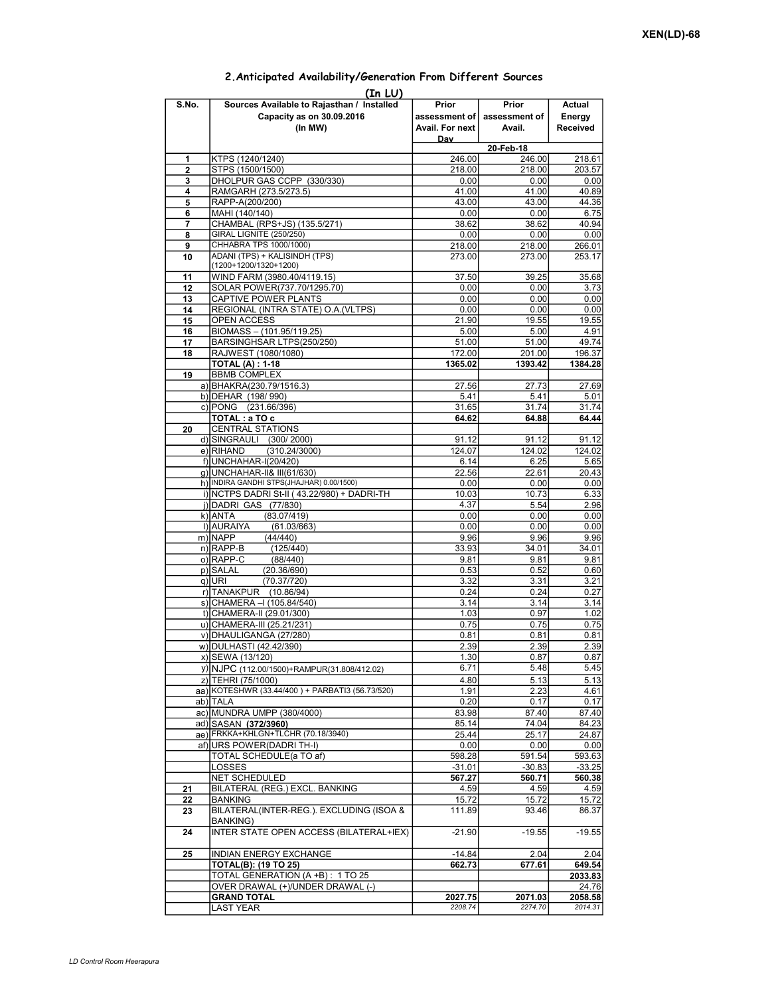|          | (In LU)                                                                            |                                           |                                  |                              |  |  |  |  |  |  |  |
|----------|------------------------------------------------------------------------------------|-------------------------------------------|----------------------------------|------------------------------|--|--|--|--|--|--|--|
| S.No.    | Sources Available to Rajasthan / Installed<br>Capacity as on 30.09.2016<br>(In MW) | Prior<br>assessment of<br>Avail. For next | Prior<br>assessment of<br>Avail. | Actual<br>Energy<br>Received |  |  |  |  |  |  |  |
|          |                                                                                    | Day                                       | 20-Feb-18                        |                              |  |  |  |  |  |  |  |
| 1        | KTPS (1240/1240)                                                                   | 246.00                                    | 246.00                           | 218.61                       |  |  |  |  |  |  |  |
| 2        | STPS (1500/1500)                                                                   | 218.00                                    | 218.00                           | 203.57                       |  |  |  |  |  |  |  |
| 3        | DHOLPUR GAS CCPP (330/330)                                                         | 0.00                                      | 0.00                             | 0.00                         |  |  |  |  |  |  |  |
| 4        | RAMGARH (273.5/273.5)                                                              | 41.00                                     | 41.00                            | 40.89                        |  |  |  |  |  |  |  |
| 5        | RAPP-A(200/200)                                                                    | 43.00                                     | 43.00                            | 44.36                        |  |  |  |  |  |  |  |
| 6        | MAHI (140/140)                                                                     | 0.00                                      | 0.00                             | 6.75                         |  |  |  |  |  |  |  |
| 7        | CHAMBAL (RPS+JS) (135.5/271)<br><b>GIRAL LIGNITE (250/250)</b>                     | 38.62                                     | 38.62                            | 40.94                        |  |  |  |  |  |  |  |
| 8<br>9   | CHHABRA TPS 1000/1000)                                                             | 0.00<br>218.00                            | 0.00<br>218.00                   | 0.00<br>266.01               |  |  |  |  |  |  |  |
| 10       | ADANI (TPS) + KALISINDH (TPS)                                                      | 273.00                                    | 273.00                           | 253.17                       |  |  |  |  |  |  |  |
|          | (1200+1200/1320+1200)                                                              |                                           |                                  |                              |  |  |  |  |  |  |  |
| 11       | WIND FARM (3980.40/4119.15)                                                        | 37.50                                     | 39.25                            | 35.68                        |  |  |  |  |  |  |  |
| 12       | SOLAR POWER(737.70/1295.70)                                                        | 0.00                                      | 0.00                             | 3.73                         |  |  |  |  |  |  |  |
| 13       | CAPTIVE POWER PLANTS                                                               | 0.00                                      | 0.00                             | 0.00                         |  |  |  |  |  |  |  |
| 14       | REGIONAL (INTRA STATE) O.A. (VLTPS)                                                | 0.00                                      | 0.00                             | 0.00                         |  |  |  |  |  |  |  |
| 15       | OPEN ACCESS                                                                        | 21.90                                     | 19.55                            | 19.55                        |  |  |  |  |  |  |  |
| 16       | BIOMASS - (101.95/119.25)<br>BARSINGHSAR LTPS(250/250)                             | 5.00                                      | 5.00<br>51.00                    | 4.91                         |  |  |  |  |  |  |  |
| 17<br>18 | RAJWEST (1080/1080)                                                                | 51.00<br>172.00                           | 201.00                           | 49.74<br>196.37              |  |  |  |  |  |  |  |
|          | <b>TOTAL (A): 1-18</b>                                                             | 1365.02                                   | 1393.42                          | 1384.28                      |  |  |  |  |  |  |  |
| 19       | <b>BBMB COMPLEX</b>                                                                |                                           |                                  |                              |  |  |  |  |  |  |  |
|          | a) BHAKRA(230.79/1516.3)                                                           | 27.56                                     | 27.73                            | 27.69                        |  |  |  |  |  |  |  |
|          | b) DEHAR (198/990)                                                                 | 5.41                                      | 5.41                             | 5.01                         |  |  |  |  |  |  |  |
|          | c) PONG (231.66/396)                                                               | 31.65                                     | 31.74                            | 31.74                        |  |  |  |  |  |  |  |
|          | TOTAL: a TO c                                                                      | 64.62                                     | 64.88                            | 64.44                        |  |  |  |  |  |  |  |
| 20       | <b>CENTRAL STATIONS</b>                                                            |                                           |                                  |                              |  |  |  |  |  |  |  |
|          | d) SINGRAULI (300/2000)                                                            | 91.12                                     | 91.12                            | 91.12                        |  |  |  |  |  |  |  |
|          | e) RIHAND<br>(310.24/3000)<br>f) UNCHAHAR-I(20/420)                                | 124.07                                    | 124.02                           | 124.02                       |  |  |  |  |  |  |  |
|          | q) UNCHAHAR-II& III(61/630)                                                        | 6.14<br>22.56                             | 6.25<br>22.61                    | 5.65<br>20.43                |  |  |  |  |  |  |  |
|          | h) INDIRA GANDHI STPS(JHAJHAR) 0.00/1500)                                          | 0.00                                      | 0.00                             | 0.00                         |  |  |  |  |  |  |  |
|          | i) NCTPS DADRI St-II (43.22/980) + DADRI-TH                                        | 10.03                                     | 10.73                            | 6.33                         |  |  |  |  |  |  |  |
|          | j) DADRI GAS (77/830)                                                              | 4.37                                      | 5.54                             | 2.96                         |  |  |  |  |  |  |  |
|          | k) ANTA<br>(83.07/419)                                                             | 0.00                                      | 0.00                             | 0.00                         |  |  |  |  |  |  |  |
|          | I) AURAIYA<br>(61.03/663)                                                          | 0.00                                      | 0.00                             | 0.00                         |  |  |  |  |  |  |  |
|          | m) NAPP<br>(44/440)                                                                | 9.96                                      | 9.96                             | 9.96                         |  |  |  |  |  |  |  |
|          | $n)$ RAPP-B<br>(125/440)                                                           | 33.93                                     | 34.01                            | 34.01                        |  |  |  |  |  |  |  |
|          | o) RAPP-C<br>(88/440)                                                              | 9.81                                      | 9.81                             | 9.81                         |  |  |  |  |  |  |  |
|          | p) SALAL<br>(20.36/690)<br>(70.37/720)<br>q) URI                                   | 0.53<br>3.32                              | 0.52<br>3.31                     | 0.60<br>3.21                 |  |  |  |  |  |  |  |
|          | r) TANAKPUR<br>(10.86/94)                                                          | 0.24                                      | 0.24                             | 0.27                         |  |  |  |  |  |  |  |
|          | s) CHAMERA - (105.84/540)                                                          | 3.14                                      | 3.14                             | 3.14                         |  |  |  |  |  |  |  |
|          | t) CHAMERA-II (29.01/300)                                                          | 1.03                                      | 0.97                             | 1.02                         |  |  |  |  |  |  |  |
|          | u) CHAMERA-III (25.21/231)                                                         | 0.75                                      | 0.75                             | 0.75                         |  |  |  |  |  |  |  |
|          | v) DHAULIGANGA (27/280)                                                            | 0.81                                      | 0.81                             | 0.81                         |  |  |  |  |  |  |  |
|          | w) DULHASTI (42.42/390)                                                            | 2.39                                      | 2.39                             | 2.39                         |  |  |  |  |  |  |  |
|          | x) SEWA (13/120)                                                                   | 1.30                                      | 0.87                             | 0.87                         |  |  |  |  |  |  |  |
|          | y) NJPC (112.00/1500) + RAMPUR(31.808/412.02)                                      | 6.71                                      | 5.48                             | 5.45                         |  |  |  |  |  |  |  |
|          | z) TEHRI (75/1000)                                                                 | 4.80                                      | 5.13                             | 5.13                         |  |  |  |  |  |  |  |
|          | aa) KOTESHWR (33.44/400) + PARBATI3 (56.73/520)                                    | 1.91                                      | 2.23                             | 4.61                         |  |  |  |  |  |  |  |
|          | ab) TALA                                                                           | 0.20                                      | 0.17                             | 0.17                         |  |  |  |  |  |  |  |
|          | ac) MUNDRA UMPP (380/4000)<br>ad) SASAN (372/3960)                                 | 83.98<br>85.14                            | 87.40<br>74.04                   | 87.40<br>84.23               |  |  |  |  |  |  |  |
|          | ae) FRKKA+KHLGN+TLCHR (70.18/3940)                                                 | 25.44                                     | 25.17                            | 24.87                        |  |  |  |  |  |  |  |
|          | af) URS POWER(DADRI TH-I)                                                          | 0.00                                      | 0.00                             | 0.00                         |  |  |  |  |  |  |  |
|          | TOTAL SCHEDULE(a TO af)                                                            | 598.28                                    | 591.54                           | 593.63                       |  |  |  |  |  |  |  |
|          | LOSSES                                                                             | $-31.01$                                  | $-30.83$                         | $-33.25$                     |  |  |  |  |  |  |  |
|          | <b>NET SCHEDULED</b>                                                               | 567.27                                    | 560.71                           | 560.38                       |  |  |  |  |  |  |  |
| 21       | BILATERAL (REG.) EXCL. BANKING                                                     | 4.59                                      | 4.59                             | 4.59                         |  |  |  |  |  |  |  |
| 22       | <b>BANKING</b><br>BILATERAL(INTER-REG.). EXCLUDING (ISOA &                         | 15.72                                     | 15.72                            | 15.72                        |  |  |  |  |  |  |  |
| 23       | BANKING)                                                                           | 111.89                                    | 93.46                            | 86.37                        |  |  |  |  |  |  |  |
| 24       | INTER STATE OPEN ACCESS (BILATERAL+IEX)                                            | $-21.90$                                  | $-19.55$                         | $-19.55$                     |  |  |  |  |  |  |  |
| 25       | <b>INDIAN ENERGY EXCHANGE</b>                                                      | $-14.84$                                  | 2.04                             | 2.04                         |  |  |  |  |  |  |  |
|          | <b>TOTAL(B): (19 TO 25)</b>                                                        | 662.73                                    | 677.61                           | 649.54                       |  |  |  |  |  |  |  |
|          | TOTAL GENERATION (A +B): 1 TO 25                                                   |                                           |                                  | 2033.83                      |  |  |  |  |  |  |  |
|          | OVER DRAWAL (+)/UNDER DRAWAL (-)                                                   |                                           |                                  | 24.76                        |  |  |  |  |  |  |  |
|          | <b>GRAND TOTAL</b>                                                                 | 2027.75                                   | 2071.03                          | 2058.58                      |  |  |  |  |  |  |  |
|          | LAST YEAR                                                                          | 2208.74                                   | 2274.70                          | 2014.31                      |  |  |  |  |  |  |  |

## 2.Anticipated Availability/Generation From Different Sources